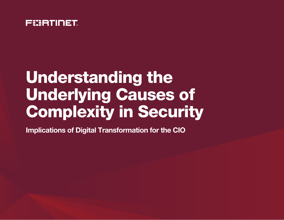

## Understanding the Underlying Causes of Complexity in Security

Implications of Digital Transformation for the CIO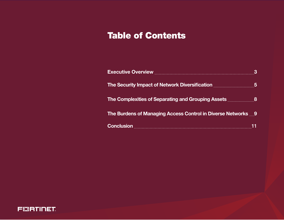### Table of Contents

| Executive Overview <b>Executive Overview</b>                          | З  |  |
|-----------------------------------------------------------------------|----|--|
| The Security Impact of Network Diversification                        | -5 |  |
| The Complexities of Separating and Grouping Assets <b>Exercisc 28</b> |    |  |
| The Burdens of Managing Access Control in Diverse Networks 9          |    |  |
|                                                                       |    |  |

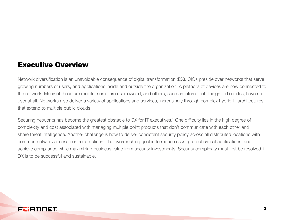#### Executive Overview

Network diversification is an unavoidable consequence of digital transformation (DX). CIOs preside over networks that serve growing numbers of users, and applications inside and outside the organization. A plethora of devices are now connected to the network. Many of these are mobile, some are user-owned, and others, such as Internet-of-Things (IoT) nodes, have no user at all. Networks also deliver a variety of applications and services, increasingly through complex hybrid IT architectures that extend to multiple public clouds.

Securing networks has become the greatest obstacle to DX for IT executives.<sup>1</sup> One difficulty lies in the high degree of complexity and cost associated with managing multiple point products that don't communicate with each other and share threat intelligence. Another challenge is how to deliver consistent security policy across all distributed locations with common network access control practices. The overreaching goal is to reduce risks, protect critical applications, and achieve compliance while maximizing business value from security investments. Security complexity must first be resolved if DX is to be successful and sustainable.

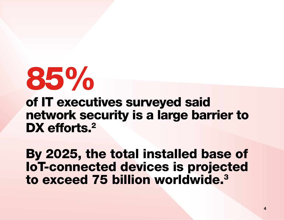# 85%

of IT executives surveyed said network security is a large barrier to DX efforts.<sup>2</sup>

By 2025, the total installed base of IoT-connected devices is projected to exceed 75 billion worldwide.<sup>3</sup>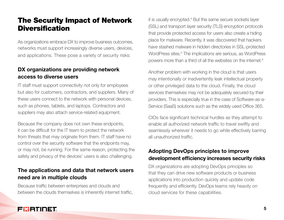#### The Security Impact of Network **Diversification**

As organizations embrace DX to improve business outcomes, networks must support increasingly diverse users, devices, and applications. These pose a variety of security risks:

#### DX organizations are providing network access to diverse users

IT staff must support connectivity not only for employees but also for customers, contractors, and suppliers. Many of these users connect to the network with personal devices, such as phones, tablets, and laptops. Contractors and suppliers may also attach service-related equipment.

Because the company does not own these endpoints, it can be difficult for the IT team to protect the network from threats that may originate from them. IT staff have no control over the security software that the endpoints may, or may not, be running. For the same reason, protecting the safety and privacy of the devices' users is also challenging.

#### The applications and data that network users need are in multiple clouds

Because traffic between enterprises and clouds and between the clouds themselves is inherently internet traffic,

it is usually encrypted.<sup>4</sup> But the same secure sockets layer (SSL) and transport layer security (TLS) encryption protocols that provide protected access for users also create a hiding place for malware. Recently, it was discovered that hackers have stashed malware in hidden directories in SSL-protected WordPress sites.<sup>5</sup> The implications are serious, as WordPress powers more than a third of all the websites on the internet.6

Another problem with working in the cloud is that users may intentionally or inadvertently leak intellectual property or other privileged data to the cloud. Finally, the cloud services themselves may not be adequately secured by their providers. This is especially true in the case of Software-as-a-Service (SaaS) solutions such as the widely used Office 365.

CIOs face significant technical hurdles as they attempt to enable all authorized network traffic to travel swiftly and seamlessly wherever it needs to go while effectively barring all unauthorized traffic.

#### Adopting DevOps principles to improve development efficiency increases security risks

DX organizations are adopting DevOps principles so that they can drive new software products or business applications into production quickly and update code frequently and efficiently. DevOps teams rely heavily on cloud services for these capabilities.

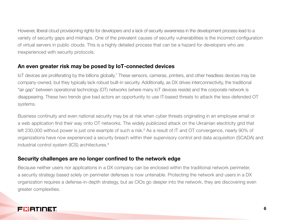However, liberal cloud provisioning rights for developers and a lack of security awareness in the development process lead to a variety of security gaps and mishaps. One of the prevalent causes of security vulnerabilities is the incorrect configuration of virtual servers in public clouds. This is a highly detailed process that can be a hazard for developers who are inexperienced with security protocols.

#### An even greater risk may be posed by IoT-connected devices

loT devices are proliferating by the billions globally.<sup>7</sup> These sensors, cameras, printers, and other headless devices may be company-owned, but they typically lack robust built-in security. Additionally, as DX drives interconnectivity, the traditional "air gap" between operational technology (OT) networks (where many IoT devices reside) and the corporate network is disappearing. These two trends give bad actors an opportunity to use IT-based threats to attack the less-defended OT systems.

Business continuity and even national security may be at risk when cyber threats originating in an employee email or a web application find their way onto OT networks. The widely publicized attack on the Ukrainian electricity grid that left 230,000 without power is just one example of such a risk.<sup>8</sup> As a result of IT and OT convergence, nearly 90% of organizations have now experienced a security breach within their supervisory control and data acquisition (SCADA) and industrial control system (ICS) architectures.<sup>9</sup>

#### Security challenges are no longer confined to the network edge

Because neither users nor applications in a DX company can be enclosed within the traditional network perimeter, a security strategy based solely on perimeter defenses is now untenable. Protecting the network and users in a DX organization requires a defense-in-depth strategy, but as CIOs go deeper into the network, they are discovering even greater complexities.

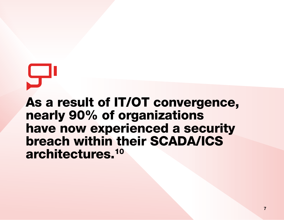As a result of IT/OT convergence, nearly 90% of organizations have now experienced a security breach within their SCADA/ICS architectures.10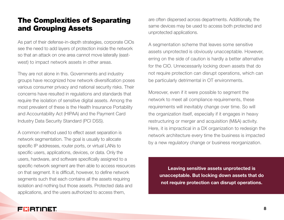#### The Complexities of Separating and Grouping Assets

As part of their defense-in-depth strategies, corporate CIOs see the need to add layers of protection inside the network so that an attack on one area cannot move laterally (eastwest) to impact network assets in other areas.

They are not alone in this. Governments and industry groups have recognized how network diversification poses various consumer privacy and national security risks. Their concerns have resulted in regulations and standards that require the isolation of sensitive digital assets. Among the most prevalent of these is the Health Insurance Portability and Accountability Act (HIPAA) and the Payment Card Industry Data Security Standard (PCI DSS).

A common method used to effect asset separation is network segmentation. The goal is usually to allocate specific IP addresses, router ports, or virtual LANs to specific users, applications, devices, or data. Only the users, hardware, and software specifically assigned to a specific network segment are then able to access resources on that segment. It is difficult, however, to define network segments such that each contains all the assets requiring isolation and nothing but those assets. Protected data and applications, and the users authorized to access them,

are often dispersed across departments. Additionally, the same devices may be used to access both protected and unprotected applications.

A segmentation scheme that leaves some sensitive assets unprotected is obviously unacceptable. However, erring on the side of caution is hardly a better alternative for the CIO. Unnecessarily locking down assets that do not require protection can disrupt operations, which can be particularly detrimental in OT environments.

Moreover, even if it were possible to segment the network to meet all compliance requirements, these requirements will inevitably change over time. So will the organization itself, especially if it engages in heavy restructuring or merger and acquisition (M&A) activity. Here, it is impractical in a DX organization to redesign the network architecture every time the business is impacted by a new regulatory change or business reorganization.

Leaving sensitive assets unprotected is unacceptable. But locking down assets that do not require protection can disrupt operations.

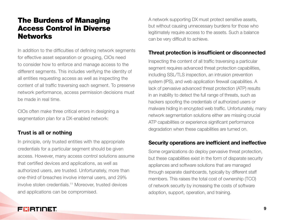#### The Burdens of Managing Access Control in Diverse **Networks**

In addition to the difficulties of defining network segments for effective asset separation or grouping, CIOs need to consider how to enforce and manage access to the different segments. This includes verifying the identity of all entities requesting access as well as inspecting the content of all traffic traversing each segment. To preserve network performance, access permission decisions must be made in real time.

CIOs often make three critical errors in designing a segmentation plan for a DX-enabled network:

#### Trust is all or nothing

In principle, only trusted entities with the appropriate credentials for a particular segment should be given access. However, many access control solutions assume that certified devices and applications, as well as authorized users, are trusted. Unfortunately, more than one-third of breaches involve internal users, and 29% involve stolen credentials.<sup>11</sup> Moreover, trusted devices and applications can be compromised.

A network supporting DX must protect sensitive assets, but without causing unnecessary burdens for those who legitimately require access to the assets. Such a balance can be very difficult to achieve.

#### Threat protection is insufficient or disconnected

Inspecting the content of all traffic traversing a particular segment requires advanced threat protection capabilities, including SSL/TLS inspection, an intrusion prevention system (IPS), and web application firewall capabilities. A lack of pervasive advanced threat protection (ATP) results in an inability to detect the full range of threats, such as hackers spoofing the credentials of authorized users or malware hiding in encrypted web traffic. Unfortunately, many network segmentation solutions either are missing crucial ATP capabilities or experience significant performance degradation when these capabilities are turned on.

#### Security operations are inefficient and ineffective

Some organizations do deploy pervasive threat protection, but these capabilities exist in the form of disparate security appliances and software solutions that are managed through separate dashboards, typically by different staff members. This raises the total cost of ownership (TCO) of network security by increasing the costs of software adoption, support, operation, and training.

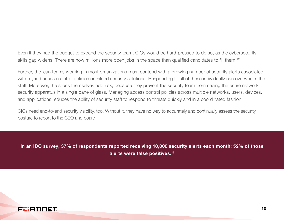Even if they had the budget to expand the security team, CIOs would be hard-pressed to do so, as the cybersecurity skills gap widens. There are now millions more open jobs in the space than qualified candidates to fill them.<sup>12</sup>

Further, the lean teams working in most organizations must contend with a growing number of security alerts associated with myriad access control policies on siloed security solutions. Responding to all of these individually can overwhelm the staff. Moreover, the siloes themselves add risk, because they prevent the security team from seeing the entire network security apparatus in a single pane of glass. Managing access control policies across multiple networks, users, devices, and applications reduces the ability of security staff to respond to threats quickly and in a coordinated fashion.

CIOs need end-to-end security visibility, too. Without it, they have no way to accurately and continually assess the security posture to report to the CEO and board.

In an IDC survey, 37% of respondents reported receiving 10,000 security alerts each month; 52% of those alerts were false positives.13

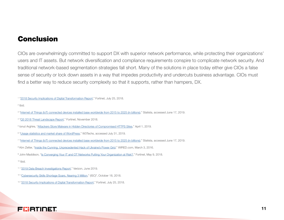#### Conclusion

CIOs are overwhelmingly committed to support DX with superior network performance, while protecting their organizations' users and IT assets. But network diversification and compliance requirements conspire to complicate network security. And traditional network-based segmentation strategies fall short. Many of the solutions in place today either give CIOs a false sense of security or lock down assets in a way that impedes productivity and undercuts business advantage. CIOs must find a better way to reduce security complexity so that it supports, rather than hampers, DX.

<sup>1</sup> ["2018 Security Implications of Digital Transformation Report,](https://www.fortinet.com/content/dam/fortinet/assets/analyst-reports/Fortinet-2018-Security-Implications-of-Digital-Transformation-Report.pdf)" Fortinet, July 25, 2018.

2 Ibid.

- <sup>4</sup> ["Q3 2018 Threat Landscape Report,](https://www.fortinet.com/content/dam/fortinet/assets/threat-reports/threat-report-q3-2018.pdf)" Fortinet, November 2018.
- <sup>5</sup> Ionut Arghire, ["Attackers Store Malware in Hidden Directories of Compromised HTTPS Sites](https://www.securityweek.com/attackers-store-malware-hidden-directories-compromised-https-sites)," April 1, 2019.
- <sup>6</sup> ["Usage statistics and market share of WordPress,](https://w3techs.com/technologies/details/cm-wordpress/all/all)" W3Techs, accessed July 31, 2019.
- <sup>7</sup> ["Internet of Things \(IoT\) connected devices installed base worldwide from 2015 to 2025 \(in billions\)](https://www.statista.com/statistics/471264/iot-number-of-connected-devices-worldwide/)," Statista, accessed June 17, 2019.
- <sup>8</sup> Kim Zetter, "<u>[Inside the Cunning, Unprecedented Hack of Ukraine's Power Grid](https://www.wired.com/2016/03/inside-cunning-unprecedented-hack-ukraines-power-grid/),</u>" WIRED.com, March 3, 2016.
- <sup>9</sup> John Maddison, "<u>Is Converging Your IT and OT Networks Putting Your Organization at Risk?," Fortinet, May 9, 2018.</u>
- 10 Ibid.
- 11 "[2019 Data Breach Investigations Report](https://enterprise.verizon.com/resources/reports/2019-data-breach-investigations-report.pdf)," Verizon, June 2019.
- <sup>12</sup> "[Cybersecurity Skills Shortage Soars, Nearing 3 Million,](https://blog.isc2.org/isc2_blog/2018/10/cybersecurity-skills-shortage-soars-nearing-3-million.html)" (ISC)<sup>2</sup>, October 18, 2018.
- <sup>13</sup> "[2018 Security Implications of Digital Transformation Report](https://www.fortinet.com/content/dam/fortinet/assets/analyst-reports/Fortinet-2018-Security-Implications-of-Digital-Transformation-Report.pdf)," Fortinet, July 25, 2018.



<sup>&</sup>lt;sup>3</sup> ["Internet of Things \(IoT\) connected devices installed base worldwide from 2015 to 2025 \(in billions\)](https://www.statista.com/statistics/471264/iot-number-of-connected-devices-worldwide/)," Statista, accessed June 17, 2019.